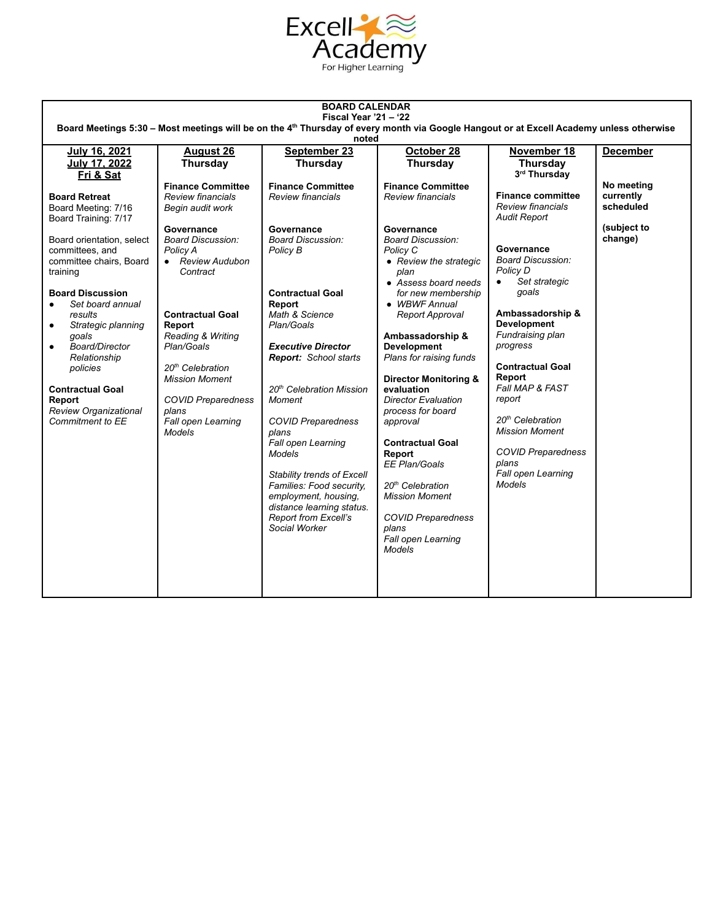

| <b>BOARD CALENDAR</b><br>Fiscal Year $21 - 22$                                                                                                                                                                                                                                                                                                                                             |                                                                                                                                                                                                                                                                                                                                                                       |                                                                                                                                                                                                                                                                                                                                                                                                                                                                                                                       |                                                                                                                                                                                                                                                                                                                                                                                                                                                                                                                                                                                                           |                                                                                                                                                                                                                                                                                                                                                                                                                                              |                                                                |  |  |
|--------------------------------------------------------------------------------------------------------------------------------------------------------------------------------------------------------------------------------------------------------------------------------------------------------------------------------------------------------------------------------------------|-----------------------------------------------------------------------------------------------------------------------------------------------------------------------------------------------------------------------------------------------------------------------------------------------------------------------------------------------------------------------|-----------------------------------------------------------------------------------------------------------------------------------------------------------------------------------------------------------------------------------------------------------------------------------------------------------------------------------------------------------------------------------------------------------------------------------------------------------------------------------------------------------------------|-----------------------------------------------------------------------------------------------------------------------------------------------------------------------------------------------------------------------------------------------------------------------------------------------------------------------------------------------------------------------------------------------------------------------------------------------------------------------------------------------------------------------------------------------------------------------------------------------------------|----------------------------------------------------------------------------------------------------------------------------------------------------------------------------------------------------------------------------------------------------------------------------------------------------------------------------------------------------------------------------------------------------------------------------------------------|----------------------------------------------------------------|--|--|
| Board Meetings 5:30 - Most meetings will be on the 4 <sup>th</sup> Thursday of every month via Google Hangout or at Excell Academy unless otherwise<br>noted                                                                                                                                                                                                                               |                                                                                                                                                                                                                                                                                                                                                                       |                                                                                                                                                                                                                                                                                                                                                                                                                                                                                                                       |                                                                                                                                                                                                                                                                                                                                                                                                                                                                                                                                                                                                           |                                                                                                                                                                                                                                                                                                                                                                                                                                              |                                                                |  |  |
| July 16, 2021                                                                                                                                                                                                                                                                                                                                                                              | <b>August 26</b>                                                                                                                                                                                                                                                                                                                                                      | September 23                                                                                                                                                                                                                                                                                                                                                                                                                                                                                                          | October 28                                                                                                                                                                                                                                                                                                                                                                                                                                                                                                                                                                                                | November 18                                                                                                                                                                                                                                                                                                                                                                                                                                  | <b>December</b>                                                |  |  |
| July 17, 2022<br>Eri & Sat                                                                                                                                                                                                                                                                                                                                                                 | Thursday                                                                                                                                                                                                                                                                                                                                                              | Thursday                                                                                                                                                                                                                                                                                                                                                                                                                                                                                                              | Thursday                                                                                                                                                                                                                                                                                                                                                                                                                                                                                                                                                                                                  | Thursday<br>3rd Thursday                                                                                                                                                                                                                                                                                                                                                                                                                     |                                                                |  |  |
| <b>Board Retreat</b><br>Board Meeting: 7/16<br>Board Training: 7/17<br>Board orientation, select<br>committees, and<br>committee chairs, Board<br>training<br><b>Board Discussion</b><br>Set board annual<br>results<br>Strategic planning<br>qoals<br>Board/Director<br>Relationship<br>policies<br><b>Contractual Goal</b><br>Report<br><b>Review Organizational</b><br>Commitment to EE | <b>Finance Committee</b><br>Review financials<br>Begin audit work<br>Governance<br><b>Board Discussion:</b><br>Policy A<br>• Review Audubon<br>Contract<br><b>Contractual Goal</b><br>Report<br>Reading & Writing<br>Plan/Goals<br>20 <sup>th</sup> Celebration<br><b>Mission Moment</b><br><b>COVID Preparedness</b><br>plans<br>Fall open Learning<br><b>Models</b> | <b>Finance Committee</b><br>Review financials<br>Governance<br><b>Board Discussion:</b><br>Policy B<br><b>Contractual Goal</b><br>Report<br>Math & Science<br>Plan/Goals<br><b>Executive Director</b><br>Report: School starts<br>20 <sup>th</sup> Celebration Mission<br>Moment<br><b>COVID Preparedness</b><br>plans<br>Fall open Learning<br><b>Models</b><br>Stability trends of Excell<br>Families: Food security,<br>employment, housing,<br>distance learning status.<br>Report from Excell's<br>Social Worker | <b>Finance Committee</b><br>Review financials<br>Governance<br><b>Board Discussion:</b><br>Policy C<br>• Review the strategic<br>plan<br>• Assess board needs<br>for new membership<br>• WBWF Annual<br>Report Approval<br>Ambassadorship &<br><b>Development</b><br>Plans for raising funds<br><b>Director Monitoring &amp;</b><br>evaluation<br><b>Director Evaluation</b><br>process for board<br>approval<br><b>Contractual Goal</b><br>Report<br>EE Plan/Goals<br>20 <sup>th</sup> Celebration<br><b>Mission Moment</b><br><b>COVID Preparedness</b><br>plans<br>Fall open Learning<br><b>Models</b> | <b>Finance committee</b><br>Review financials<br><b>Audit Report</b><br>Governance<br><b>Board Discussion:</b><br>Policy D<br>Set strategic<br>$\bullet$<br>goals<br>Ambassadorship &<br><b>Development</b><br>Fundraising plan<br>progress<br><b>Contractual Goal</b><br>Report<br>Fall MAP & FAST<br>report<br>20 <sup>th</sup> Celebration<br><b>Mission Moment</b><br><b>COVID Preparedness</b><br>plans<br>Fall open Learning<br>Models | No meeting<br>currently<br>scheduled<br>(subject to<br>change) |  |  |
|                                                                                                                                                                                                                                                                                                                                                                                            |                                                                                                                                                                                                                                                                                                                                                                       |                                                                                                                                                                                                                                                                                                                                                                                                                                                                                                                       |                                                                                                                                                                                                                                                                                                                                                                                                                                                                                                                                                                                                           |                                                                                                                                                                                                                                                                                                                                                                                                                                              |                                                                |  |  |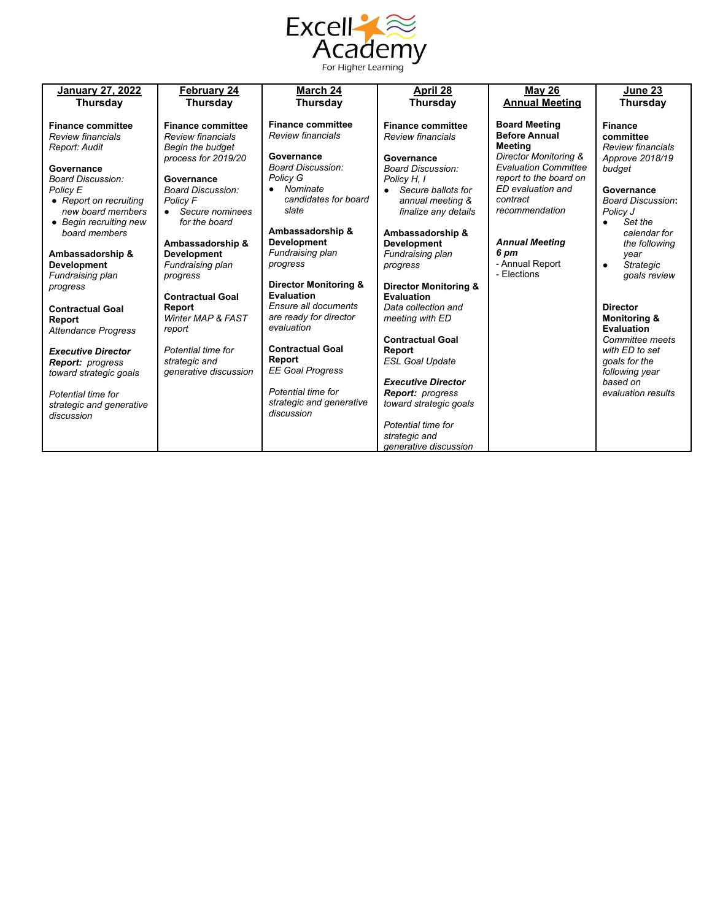

| <b>January 27, 2022</b>              | <b>February 24</b>                     | March 24                                       | April 28                          | <b>May 26</b>                                        | June 23                       |
|--------------------------------------|----------------------------------------|------------------------------------------------|-----------------------------------|------------------------------------------------------|-------------------------------|
| <b>Thursday</b>                      | Thursday                               | <b>Thursday</b>                                | <b>Thursday</b>                   | <b>Annual Meeting</b>                                | <b>Thursday</b>               |
|                                      |                                        |                                                |                                   |                                                      |                               |
| <b>Finance committee</b>             | <b>Finance committee</b>               | <b>Finance committee</b>                       | <b>Finance committee</b>          | <b>Board Meeting</b>                                 | <b>Finance</b>                |
| Review financials                    | <b>Review financials</b>               | <b>Review financials</b>                       | Review financials                 | <b>Before Annual</b>                                 | committee                     |
| Report: Audit                        | Begin the budget                       |                                                |                                   | Meetina                                              | Review financials             |
|                                      | process for 2019/20                    | Governance<br><b>Board Discussion:</b>         | Governance                        | Director Monitoring &<br><b>Evaluation Committee</b> | Approve 2018/19               |
| Governance                           |                                        | Policy G                                       | <b>Board Discussion:</b>          | report to the board on                               | budget                        |
| Board Discussion:<br>Policy E        | Governance<br><b>Board Discussion:</b> | Nominate<br>٠                                  | Policy H, 1<br>Secure ballots for | ED evaluation and                                    | Governance                    |
| • Report on recruiting               | <b>Policy F</b>                        | candidates for board                           | annual meeting &                  | contract                                             | <b>Board Discussion:</b>      |
| new board members                    | • Secure nominees                      | slate                                          | finalize any details              | recommendation                                       | Policy J                      |
| • Begin recruiting new               | for the board                          |                                                |                                   |                                                      | Set the<br>$\bullet$          |
| board members                        |                                        | Ambassadorship &                               | Ambassadorship &                  |                                                      | calendar for                  |
|                                      | Ambassadorship &                       | <b>Development</b>                             | <b>Development</b>                | <b>Annual Meeting</b>                                | the following                 |
| Ambassadorship &                     | <b>Development</b>                     | Fundraising plan                               | Fundraising plan                  | 6 pm                                                 | year                          |
| <b>Development</b>                   | Fundraising plan                       | progress                                       | progress                          | - Annual Report                                      | <b>Strategic</b><br>$\bullet$ |
| Fundraising plan                     | progress                               |                                                |                                   | - Flections                                          | goals review                  |
| progress                             |                                        | <b>Director Monitoring &amp;</b><br>Evaluation | <b>Director Monitoring &amp;</b>  |                                                      |                               |
|                                      | <b>Contractual Goal</b>                | Ensure all documents                           | Evaluation<br>Data collection and |                                                      | <b>Director</b>               |
| <b>Contractual Goal</b>              | Report<br>Winter MAP & FAST            | are ready for director                         | meeting with ED                   |                                                      | <b>Monitoring &amp;</b>       |
| Report<br><b>Attendance Progress</b> | report                                 | evaluation                                     |                                   |                                                      | <b>Evaluation</b>             |
|                                      |                                        |                                                | <b>Contractual Goal</b>           |                                                      | Committee meets               |
| <b>Executive Director</b>            | Potential time for                     | <b>Contractual Goal</b>                        | Report                            |                                                      | with ED to set                |
| <b>Report: progress</b>              | strategic and                          | Report                                         | <b>ESL Goal Update</b>            |                                                      | goals for the                 |
| toward strategic goals               | generative discussion                  | <b>EE Goal Progress</b>                        |                                   |                                                      | following year                |
|                                      |                                        |                                                | <b>Executive Director</b>         |                                                      | based on                      |
| Potential time for                   |                                        | Potential time for                             | <b>Report:</b> progress           |                                                      | evaluation results            |
| strategic and generative             |                                        | strategic and generative<br>discussion         | toward strategic goals            |                                                      |                               |
| discussion                           |                                        |                                                | Potential time for                |                                                      |                               |
|                                      |                                        |                                                | strategic and                     |                                                      |                               |
|                                      |                                        |                                                | generative discussion             |                                                      |                               |